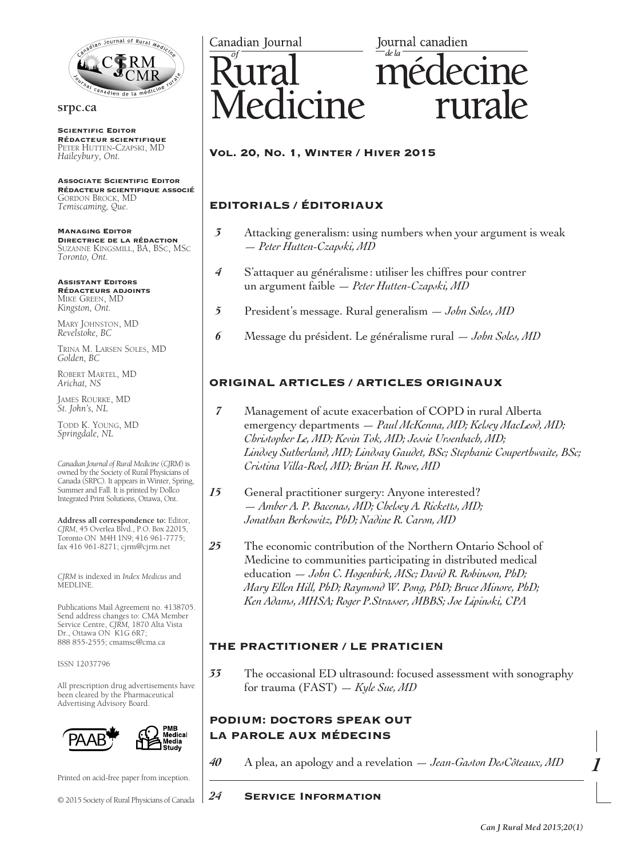

#### **srpc.ca**

**SCIENTIFIC EDITOR** Rédacteur scientifique Peter Hutten-Czapski, MD *Haileybury, Ont.*

Associate Scientific Editor Rédacteur scientifique associé Gordon Brock, MD *Temiscaming, Que.*

Managing Editor Directrice de la rédaction Suzanne Kingsmill, BA, BSc, MSc *Toronto, Ont.*

Assistant Editors Rédacteurs adjoints Mike Green, MD *Kingston, Ont.*

MARY JOHNSTON, MD *Revelstoke, BC*

Trina M. Larsen Soles, MD *Golden, BC*

Robert Martel, MD *Arichat, NS*

James Rourke, MD *St. John's, NL*

Todd K. Young, MD *Springdale, NL*

*Canadian Journal of Rural Medicine* (*CJRM*) is owned by the Society of Rural Physicians of Canada (SRPC). It appears in Winter, Spring, Summer and Fall. It is printed by Dollco Integrated Print Solutions, Ottawa, Ont.

**Address all correspondence to:** Editor, *CJRM*, 45 Overlea Blvd., P.O. Box 22015, Toronto ON M4H 1N9; 416 961-7775; fax 416 961-8271; cjrm@cjrm.net

*CJRM* is indexed in *Index Medicus* and MEDLINE.

Publications Mail Agreement no. 4138705. Send address changes to: CMA Member Service Centre, *CJRM,* 1870 Alta Vista Dr., Ottawa ON K1G 6R7; 888 855-2555; cmamsc@cma.ca

ISSN 12037796

All prescription drug advertisements have been cleared by the Pharmaceutical Advertising Advisory Board.



Printed on acid-free paper from inception.

© 2015 Society of Rural Physicians of Canada

Canadian Journal

Journal canadien

# edicine rurale

## Vol. 20, No. 1, Winter / Hiver 2015

## EDITORIALS / ÉDITORIAUX

- *3* Attacking generalism: using numbers when your argument is weak — *Peter Hutten-Czapski, MD*
- *4* S'attaquer au généralisme: utiliser les chiffres pour contrer un argument faible — *Peter Hutten-Czapski, MD*
- *5* President's message. Rural generalism *John Soles, MD*
- *6* Message du président. Le généralisme rural *John Soles, MD*

## ORIGINAL ARTICLES / ARTICLES ORIGINAUX

- *7* Management of acute exacerbation of COPD in rural Alberta emergency departments — *Paul McKenna, MD; Kelsey MacLeod, MD; Christopher Le, MD; Kevin Tok, MD; Jessie Ursenbach, MD; Lindsey Sutherland, MD; Lindsay Gaudet, BSc; Stephanie Couperthwaite, BSc; Cristina Villa-Roel, MD; Brian H. Rowe, MD*
- 15 General practitioner surgery: Anyone interested? — *Amber A. P. Bacenas, MD; Chelsey A. Ricketts, MD; Jonathan Berkowitz, PhD; Nadine R. Caron, MD*
- *25* The economic contribution of the Northern Ontario School of Medicine to communities participating in distributed medical education — *John C. Hogenbirk, MSc; David R. Robinson, PhD; Mary Ellen Hill, PhD; Raymond W. Pong, PhD; Bruce Minore, PhD; Ken Adams, MHSA; Roger P.Strasser, MBBS; Joe Lipinski, CPA*

## THE PRACTITIONER / LE PRATICIEN

*33* The occasional ED ultrasound: focused assessment with sonography for trauma (FAST) — *Kyle Sue, MD*

## PODIUM: DOCTORS SPEAK OUT LA PAROLE AUX MÉDECINS

*40* A plea, an apology and a revelation — *Jean-Gaston DesCôteaux, MD*

### *24* Service Information

*1*